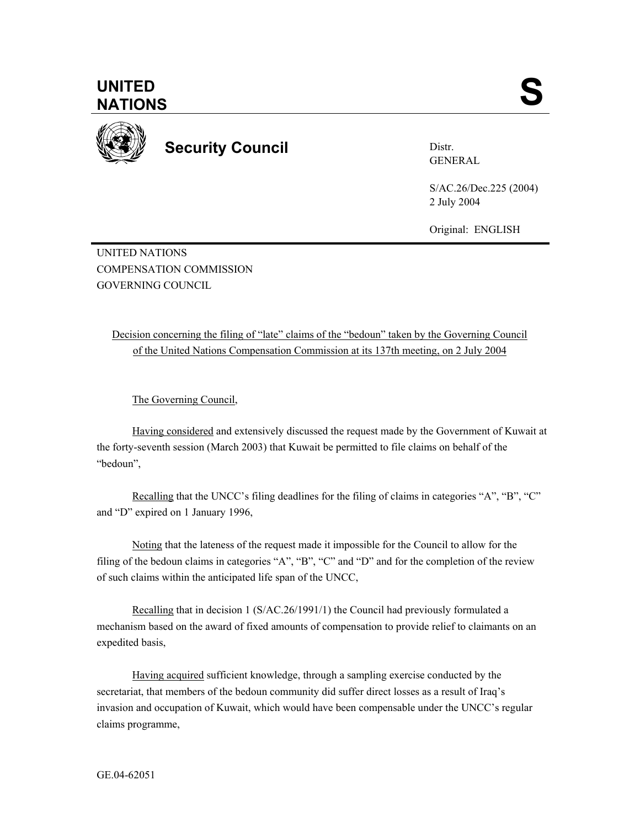

**Security Council** 

Distr. GENERAL

S/AC.26/Dec.225 (2004) 2 July 2004

Original: ENGLISH

UNITED NATIONS COMPENSATION COMMISSION GOVERNING COUNCIL

Decision concerning the filing of "late" claims of the "bedoun" taken by the Governing Council of the United Nations Compensation Commission at its 137th meeting, on 2 July 2004

The Governing Council,

 Having considered and extensively discussed the request made by the Government of Kuwait at the forty-seventh session (March 2003) that Kuwait be permitted to file claims on behalf of the "bedoun",

Recalling that the UNCC's filing deadlines for the filing of claims in categories "A", "B", "C" and "D" expired on 1 January 1996,

Noting that the lateness of the request made it impossible for the Council to allow for the filing of the bedoun claims in categories "A", "B", "C" and "D" and for the completion of the review of such claims within the anticipated life span of the UNCC,

Recalling that in decision 1 (S/AC.26/1991/1) the Council had previously formulated a mechanism based on the award of fixed amounts of compensation to provide relief to claimants on an expedited basis,

Having acquired sufficient knowledge, through a sampling exercise conducted by the secretariat, that members of the bedoun community did suffer direct losses as a result of Iraq's invasion and occupation of Kuwait, which would have been compensable under the UNCC's regular claims programme,